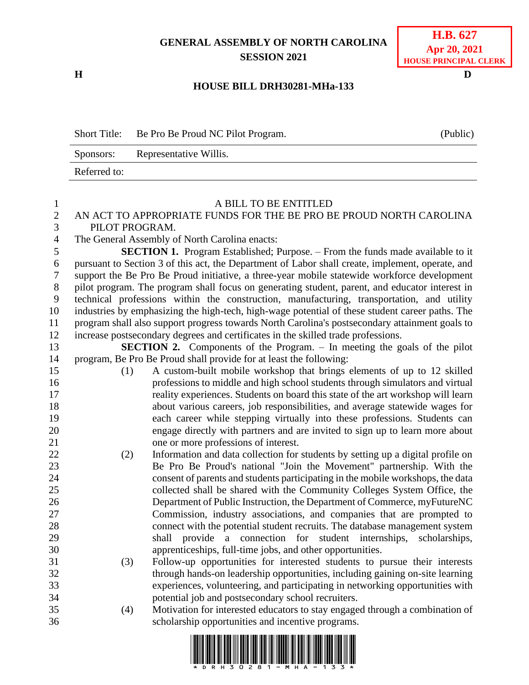# **GENERAL ASSEMBLY OF NORTH CAROLINA SESSION 2021**

**H D**

## **H.B. 627 Apr 20, 2021 HOUSE PRINCIPAL CLERK**

### **HOUSE BILL DRH30281-MHa-133**

| <b>Short Title:</b> | Be Pro Be Proud NC Pilot Program. | (Public) |
|---------------------|-----------------------------------|----------|
| Sponsors:           | Representative Willis.            |          |
| Referred to:        |                                   |          |

#### A BILL TO BE ENTITLED

### AN ACT TO APPROPRIATE FUNDS FOR THE BE PRO BE PROUD NORTH CAROLINA PILOT PROGRAM.

The General Assembly of North Carolina enacts:

 **SECTION 1.** Program Established; Purpose. – From the funds made available to it pursuant to Section 3 of this act, the Department of Labor shall create, implement, operate, and support the Be Pro Be Proud initiative, a three-year mobile statewide workforce development pilot program. The program shall focus on generating student, parent, and educator interest in technical professions within the construction, manufacturing, transportation, and utility industries by emphasizing the high-tech, high-wage potential of these student career paths. The program shall also support progress towards North Carolina's postsecondary attainment goals to increase postsecondary degrees and certificates in the skilled trade professions.

 **SECTION 2.** Components of the Program. – In meeting the goals of the pilot program, Be Pro Be Proud shall provide for at least the following:

- (1) A custom-built mobile workshop that brings elements of up to 12 skilled professions to middle and high school students through simulators and virtual reality experiences. Students on board this state of the art workshop will learn about various careers, job responsibilities, and average statewide wages for each career while stepping virtually into these professions. Students can engage directly with partners and are invited to sign up to learn more about one or more professions of interest.
- (2) Information and data collection for students by setting up a digital profile on Be Pro Be Proud's national "Join the Movement" partnership. With the consent of parents and students participating in the mobile workshops, the data collected shall be shared with the Community Colleges System Office, the Department of Public Instruction, the Department of Commerce, myFutureNC Commission, industry associations, and companies that are prompted to connect with the potential student recruits. The database management system shall provide a connection for student internships, scholarships, apprenticeships, full-time jobs, and other opportunities.
- (3) Follow-up opportunities for interested students to pursue their interests through hands-on leadership opportunities, including gaining on-site learning experiences, volunteering, and participating in networking opportunities with potential job and postsecondary school recruiters.
- (4) Motivation for interested educators to stay engaged through a combination of scholarship opportunities and incentive programs.